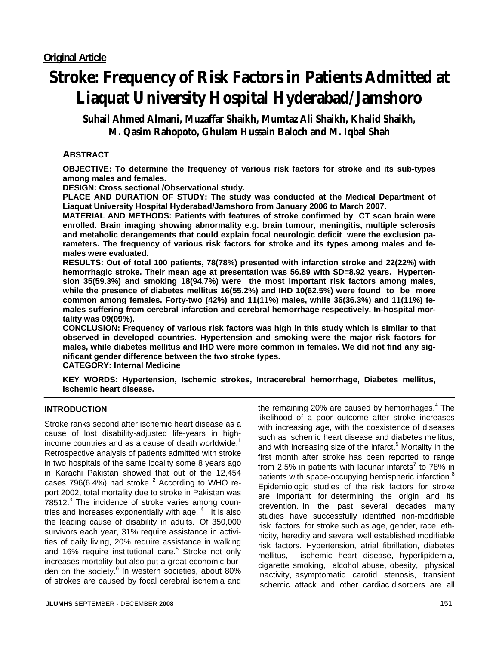# **Stroke: Frequency of Risk Factors in Patients Admitted at Liaquat University Hospital Hyderabad/Jamshoro**

**Suhail Ahmed Almani, Muzaffar Shaikh, Mumtaz Ali Shaikh, Khalid Shaikh, M. Qasim Rahopoto, Ghulam Hussain Baloch and M. Iqbal Shah** 

# **ABSTRACT**

**OBJECTIVE: To determine the frequency of various risk factors for stroke and its sub-types among males and females.** 

**DESIGN: Cross sectional /Observational study.** 

**PLACE AND DURATION OF STUDY: The study was conducted at the Medical Department of Liaquat University Hospital Hyderabad/Jamshoro from January 2006 to March 2007.** 

**MATERIAL AND METHODS: Patients with features of stroke confirmed by CT scan brain were enrolled. Brain imaging showing abnormality e.g. brain tumour, meningitis, multiple sclerosis and metabolic derangements that could explain focal neurologic deficit were the exclusion parameters. The frequency of various risk factors for stroke and its types among males and females were evaluated.** 

**RESULTS: Out of total 100 patients, 78(78%) presented with infarction stroke and 22(22%) with hemorrhagic stroke. Their mean age at presentation was 56.89 with SD=8.92 years. Hypertension 35(59.3%) and smoking 18(94.7%) were the most important risk factors among males, while the presence of diabetes mellitus 16(55.2%) and IHD 10(62.5%) were found to be more common among females. Forty-two (42%) and 11(11%) males, while 36(36.3%) and 11(11%) females suffering from cerebral infarction and cerebral hemorrhage respectively. In-hospital mortality was 09(09%).** 

**CONCLUSION: Frequency of various risk factors was high in this study which is similar to that observed in developed countries. Hypertension and smoking were the major risk factors for males, while diabetes mellitus and IHD were more common in females. We did not find any significant gender difference between the two stroke types.** 

**CATEGORY: Internal Medicine** 

**KEY WORDS: Hypertension, Ischemic strokes, Intracerebral hemorrhage, Diabetes mellitus, Ischemic heart disease.**

## **INTRODUCTION**

Stroke ranks second after ischemic heart disease as a cause of lost disability-adjusted life-years in highincome countries and as a cause of death worldwide.<sup>1</sup> Retrospective analysis of patients admitted with stroke in two hospitals of the same locality some 8 years ago in Karachi Pakistan showed that out of the 12,454 cases 796(6.4%) had stroke. $^2$  According to WHO report 2002, total mortality due to stroke in Pakistan was 78512.<sup>3</sup> The incidence of stroke varies among countries and increases exponentially with age.  $4$  It is also the leading cause of disability in adults. Of 350,000 survivors each year, 31% require assistance in activities of daily living, 20% require assistance in walking and 16% require institutional care.<sup>5</sup> Stroke not only increases mortality but also put a great economic burden on the society.<sup>6</sup> In western societies, about 80% of strokes are caused by focal cerebral ischemia and

the remaining 20% are caused by hemorrhages. $4$  The likelihood of a poor outcome after stroke increases with increasing age, with the coexistence of diseases such as ischemic heart disease and diabetes mellitus, and with increasing size of the infarct.<sup>5</sup> Mortality in the first month after stroke has been reported to range from 2.5% in patients with lacunar infarcts<sup>7</sup> to 78% in patients with space-occupying hemispheric infarction.<sup>8</sup> Epidemiologic studies of the risk factors for stroke are important for determining the origin and its prevention. In the past several decades many studies have successfully identified non-modifiable risk factors for stroke such as age, gender, race, ethnicity, heredity and several well established modifiable risk factors. Hypertension, atrial fibrillation, diabetes mellitus, ischemic heart disease, hyperlipidemia, cigarette smoking, alcohol abuse, obesity, physical inactivity, asymptomatic carotid stenosis, transient ischemic attack and other cardiac disorders are all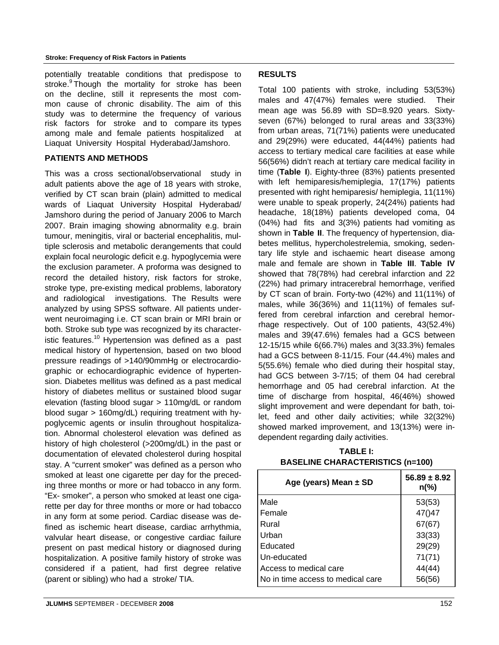#### **Stroke: Frequency of Risk Factors in Patients**

potentially treatable conditions that predispose to stroke. Though the mortality for stroke has been on the decline, still it represents the most common cause of chronic disability. The aim of this study was to determine the frequency of various risk factors for stroke and to compare its types among male and female patients hospitalized at Liaquat University Hospital Hyderabad/Jamshoro.

#### **PATIENTS AND METHODS**

This was a cross sectional/observational study in adult patients above the age of 18 years with stroke, verified by CT scan brain (plain) admitted to medical wards of Liaquat University Hospital Hyderabad/ Jamshoro during the period of January 2006 to March 2007. Brain imaging showing abnormality e.g. brain tumour, meningitis, viral or bacterial encephalitis, multiple sclerosis and metabolic derangements that could explain focal neurologic deficit e.g. hypoglycemia were the exclusion parameter. A proforma was designed to record the detailed history, risk factors for stroke, stroke type, pre-existing medical problems, laboratory and radiological investigations. The Results were analyzed by using SPSS software. All patients underwent neuroimaging i.e. CT scan brain or MRI brain or both. Stroke sub type was recognized by its characteristic features.<sup>10</sup> Hypertension was defined as a past medical history of hypertension, based on two blood pressure readings of >140/90mmHg or electrocardiographic or echocardiographic evidence of hypertension. Diabetes mellitus was defined as a past medical history of diabetes mellitus or sustained blood sugar elevation (fasting blood sugar > 110mg/dL or random blood sugar > 160mg/dL) requiring treatment with hypoglycemic agents or insulin throughout hospitalization. Abnormal cholesterol elevation was defined as history of high cholesterol (>200mg/dL) in the past or documentation of elevated cholesterol during hospital stay. A "current smoker" was defined as a person who smoked at least one cigarette per day for the preceding three months or more or had tobacco in any form. "Ex- smoker", a person who smoked at least one cigarette per day for three months or more or had tobacco in any form at some period. Cardiac disease was defined as ischemic heart disease, cardiac arrhythmia, valvular heart disease, or congestive cardiac failure present on past medical history or diagnosed during hospitalization. A positive family history of stroke was considered if a patient, had first degree relative (parent or sibling) who had a stroke/ TIA.

# **RESULTS**

Total 100 patients with stroke, including 53(53%) males and 47(47%) females were studied. Their mean age was 56.89 with SD=8.920 years. Sixtyseven (67%) belonged to rural areas and 33(33%) from urban areas, 71(71%) patients were uneducated and 29(29%) were educated, 44(44%) patients had access to tertiary medical care facilities at ease while 56(56%) didn't reach at tertiary care medical facility in time (**Table I**). Eighty-three (83%) patients presented with left hemiparesis/hemiplegia, 17(17%) patients presented with right hemiparesis/ hemiplegia, 11(11%) were unable to speak properly, 24(24%) patients had headache, 18(18%) patients developed coma, 04 (04%) had fits and 3(3%) patients had vomiting as shown in **Table II**. The frequency of hypertension, diabetes mellitus, hypercholestrelemia, smoking, sedentary life style and ischaemic heart disease among male and female are shown in **Table III**. **Table IV** showed that 78(78%) had cerebral infarction and 22 (22%) had primary intracerebral hemorrhage, verified by CT scan of brain. Forty-two (42%) and 11(11%) of males, while 36(36%) and 11(11%) of females suffered from cerebral infarction and cerebral hemorrhage respectively. Out of 100 patients, 43(52.4%) males and 39(47.6%) females had a GCS between 12-15/15 while 6(66.7%) males and 3(33.3%) females had a GCS between 8-11/15. Four (44.4%) males and 5(55.6%) female who died during their hospital stay, had GCS between 3-7/15; of them 04 had cerebral hemorrhage and 05 had cerebral infarction. At the time of discharge from hospital, 46(46%) showed slight improvement and were dependant for bath, toilet, feed and other daily activities; while 32(32%) showed marked improvement, and 13(13%) were independent regarding daily activities.

| <b>TABLE I:</b>                         |  |
|-----------------------------------------|--|
| <b>BASELINE CHARACTERISTICS (n=100)</b> |  |

| Age (years) Mean $\pm$ SD         | $56.89 \pm 8.92$<br>$n\frac{6}{6}$ |  |  |
|-----------------------------------|------------------------------------|--|--|
| Male                              | 53(53)                             |  |  |
| Female                            | 47()47                             |  |  |
| Rural                             | 67(67)                             |  |  |
| Urban                             | 33(33)                             |  |  |
| Educated                          | 29(29)                             |  |  |
| Un-educated                       | 71(71)                             |  |  |
| Access to medical care            | 44(44)                             |  |  |
| No in time access to medical care | 56(56)                             |  |  |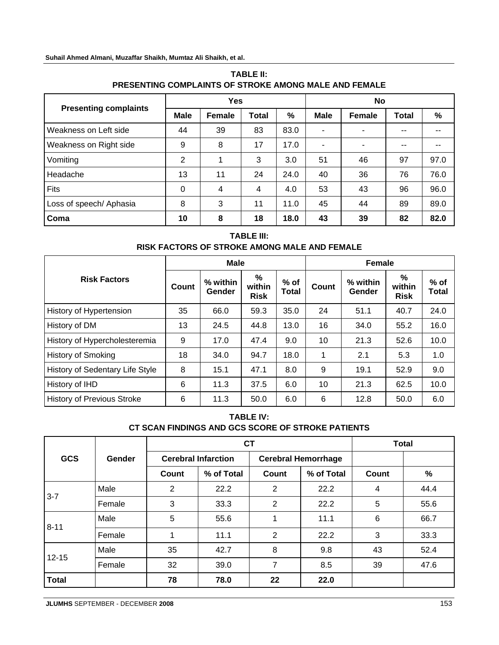# **Suhail Ahmed Almani, Muzaffar Shaikh, Mumtaz Ali Shaikh, et al.**

|                              | <b>Yes</b>  |        |       |      | No          |                |              |      |
|------------------------------|-------------|--------|-------|------|-------------|----------------|--------------|------|
| <b>Presenting complaints</b> | <b>Male</b> | Female | Total | %    | <b>Male</b> | <b>Female</b>  | <b>Total</b> | %    |
| Weakness on Left side        | 44          | 39     | 83    | 83.0 |             |                | --           |      |
| Weakness on Right side       | 9           | 8      | 17    | 17.0 |             | $\blacksquare$ | $ -$         |      |
| Vomiting                     | 2           |        | 3     | 3.0  | 51          | 46             | 97           | 97.0 |
| Headache                     | 13          | 11     | 24    | 24.0 | 40          | 36             | 76           | 76.0 |
| Fits                         | $\Omega$    | 4      | 4     | 4.0  | 53          | 43             | 96           | 96.0 |
| Loss of speech/ Aphasia      | 8           | 3      | 11    | 11.0 | 45          | 44             | 89           | 89.0 |
| Coma                         | 10          | 8      | 18    | 18.0 | 43          | 39             | 82           | 82.0 |

# **TABLE II: PRESENTING COMPLAINTS OF STROKE AMONG MALE AND FEMALE**

# **TABLE III: RISK FACTORS OF STROKE AMONG MALE AND FEMALE**

|                                   | <b>Male</b> |                    |                            |                 | Female |                    |                            |                 |
|-----------------------------------|-------------|--------------------|----------------------------|-----------------|--------|--------------------|----------------------------|-----------------|
| <b>Risk Factors</b>               | Count       | % within<br>Gender | %<br>within<br><b>Risk</b> | $%$ of<br>Total | Count  | % within<br>Gender | %<br>within<br><b>Risk</b> | $%$ of<br>Total |
| History of Hypertension           | 35          | 66.0               | 59.3                       | 35.0            | 24     | 51.1               | 40.7                       | 24.0            |
| History of DM                     | 13          | 24.5               | 44.8                       | 13.0            | 16     | 34.0               | 55.2                       | 16.0            |
| History of Hypercholesteremia     | 9           | 17.0               | 47.4                       | 9.0             | 10     | 21.3               | 52.6                       | 10.0            |
| <b>History of Smoking</b>         | 18          | 34.0               | 94.7                       | 18.0            | 1      | 2.1                | 5.3                        | 1.0             |
| History of Sedentary Life Style   | 8           | 15.1               | 47.1                       | 8.0             | 9      | 19.1               | 52.9                       | 9.0             |
| History of IHD                    | 6           | 11.3               | 37.5                       | 6.0             | 10     | 21.3               | 62.5                       | 10.0            |
| <b>History of Previous Stroke</b> | 6           | 11.3               | 50.0                       | 6.0             | 6      | 12.8               | 50.0                       | 6.0             |

# **TABLE IV: CT SCAN FINDINGS AND GCS SCORE OF STROKE PATIENTS**

|            | Gender |                | <b>CT</b>                  | <b>Total</b>   |                            |              |      |
|------------|--------|----------------|----------------------------|----------------|----------------------------|--------------|------|
| <b>GCS</b> |        |                | <b>Cerebral Infarction</b> |                | <b>Cerebral Hemorrhage</b> |              |      |
|            |        | <b>Count</b>   | % of Total                 | Count          | % of Total                 | <b>Count</b> | $\%$ |
| $3 - 7$    | Male   | $\overline{2}$ | 22.2                       | $\overline{2}$ | 22.2                       | 4            | 44.4 |
|            | Female | 3              | 33.3                       | 2              | 22.2                       | 5            | 55.6 |
| $8 - 11$   | Male   | 5              | 55.6                       | 1              | 11.1                       | 6            | 66.7 |
|            | Female |                | 11.1                       | 2              | 22.2                       | 3            | 33.3 |
| 12-15      | Male   | 35             | 42.7                       | 8              | 9.8                        | 43           | 52.4 |
|            | Female | 32             | 39.0                       | 7              | 8.5                        | 39           | 47.6 |
| Total      |        | 78             | 78.0                       | 22             | 22.0                       |              |      |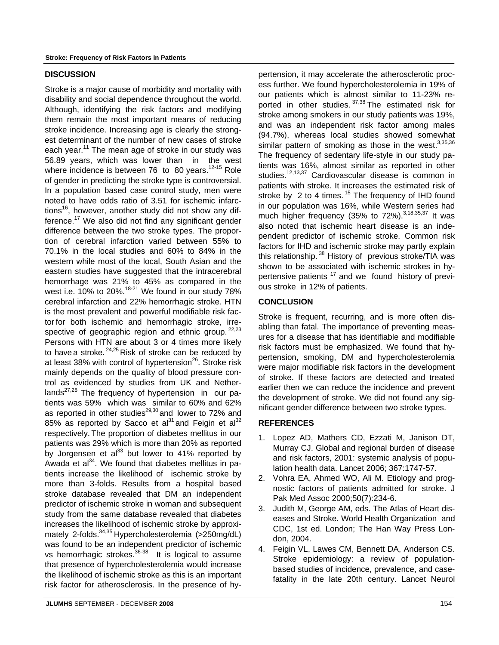#### **DISCUSSION**

Stroke is a major cause of morbidity and mortality with disability and social dependence throughout the world. Although, identifying the risk factors and modifying them remain the most important means of reducing stroke incidence. Increasing age is clearly the strongest determinant of the number of new cases of stroke each year.<sup>11</sup> The mean age of stroke in our study was 56.89 years, which was lower than in the west where incidence is between 76 to 80 years.<sup>12-15</sup> Role of gender in predicting the stroke type is controversial. In a population based case control study, men were noted to have odds ratio of 3.51 for ischemic infarctions<sup>16</sup>, however, another study did not show any difference. $17$  We also did not find any significant gender difference between the two stroke types. The proportion of cerebral infarction varied between 55% to 70.1% in the local studies and 60% to 84% in the western while most of the local, South Asian and the eastern studies have suggested that the intracerebral hemorrhage was 21% to 45% as compared in the west i.e.  $10\%$  to 20%. $18-21$  We found in our study 78% cerebral infarction and 22% hemorrhagic stroke. HTN is the most prevalent and powerful modifiable risk factor for both ischemic and hemorrhagic stroke, irrespective of geographic region and ethnic group.<sup>22,23</sup> Persons with HTN are about 3 or 4 times more likely to have a stroke.  $24,25$  Risk of stroke can be reduced by at least 38% with control of hypertension $^{26}$ . Stroke risk mainly depends on the quality of blood pressure control as evidenced by studies from UK and Netherlands $^{27,28}$  The frequency of hypertension in our patients was 59% which was similar to 60% and 62% as reported in other studies<sup>29,30</sup> and lower to 72% and 85% as reported by Sacco et al<sup>31</sup> and Feigin et al<sup>32</sup> respectively. The proportion of diabetes mellitus in our patients was 29% which is more than 20% as reported by Jorgensen et al<sup>33</sup> but lower to 41% reported by Awada et al $^{34}$ . We found that diabetes mellitus in patients increase the likelihood of ischemic stroke by more than 3-folds. Results from a hospital based stroke database revealed that DM an independent predictor of ischemic stroke in woman and subsequent study from the same database revealed that diabetes increases the likelihood of ischemic stroke by approximately 2-folds.<sup>34,35</sup> Hypercholesterolemia (>250mg/dL) was found to be an independent predictor of ischemic vs hemorrhagic strokes.36-38 It is logical to assume that presence of hypercholesterolemia would increase the likelihood of ischemic stroke as this is an important risk factor for atherosclerosis. In the presence of hy-

pertension, it may accelerate the atherosclerotic process further. We found hypercholesterolemia in 19% of our patients which is almost similar to 11-23% reported in other studies. 37,38 The estimated risk for stroke among smokers in our study patients was 19%, and was an independent risk factor among males (94.7%), whereas local studies showed somewhat similar pattern of smoking as those in the west. $3,35,36$ The frequency of sedentary life-style in our study patients was 16%, almost similar as reported in other studies.12,13,37 Cardiovascular disease is common in patients with stroke. It increases the estimated risk of stroke by 2 to 4 times.  $15$  The frequency of IHD found in our population was 16%, while Western series had much higher frequency (35% to  $72\%$ ).<sup>3,18,35,37</sup> It was also noted that ischemic heart disease is an independent predictor of ischemic stroke. Common risk factors for IHD and ischemic stroke may partly explain this relationship.<sup>38</sup> History of previous stroke/TIA was shown to be associated with ischemic strokes in hypertensive patients  $17$  and we found history of previous stroke in 12% of patients.

## **CONCLUSION**

Stroke is frequent, recurring, and is more often disabling than fatal. The importance of preventing measures for a disease that has identifiable and modifiable risk factors must be emphasized. We found that hypertension, smoking, DM and hypercholesterolemia were major modifiable risk factors in the development of stroke. If these factors are detected and treated earlier then we can reduce the incidence and prevent the development of stroke. We did not found any significant gender difference between two stroke types.

## **REFERENCES**

- 1. Lopez AD, Mathers CD, Ezzati M, Janison DT, Murray CJ. Global and regional burden of disease and risk factors, 2001: systemic analysis of population health data. Lancet 2006; 367:1747-57.
- 2. Vohra EA, Ahmed WO, Ali M. Etiology and prognostic factors of patients admitted for stroke. J Pak Med Assoc 2000;50(7):234-6.
- 3. Judith M, George AM, eds. The Atlas of Heart diseases and Stroke. World Health Organization and CDC, 1st ed. London; The Han Way Press London, 2004.
- 4. Feigin VL, Lawes CM, Bennett DA, Anderson CS. Stroke epidemiology: a review of populationbased studies of incidence, prevalence, and casefatality in the late 20th century. Lancet Neurol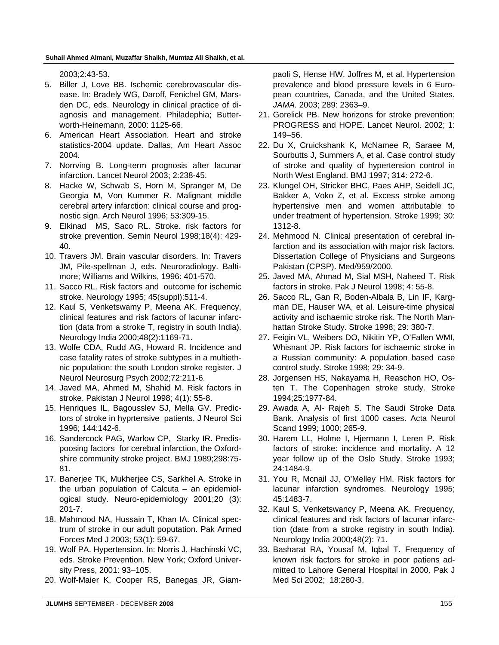2003;2:43-53.

- 5. Biller J, Love BB. Ischemic cerebrovascular disease. In: Bradely WG, Daroff, Fenichel GM, Marsden DC, eds. Neurology in clinical practice of diagnosis and management. Philadephia; Butterworth-Heinemann, 2000: 1125-66.
- 6. American Heart Association. Heart and stroke statistics-2004 update. Dallas, Am Heart Assoc 2004.
- 7. Norrving B. Long-term prognosis after lacunar infarction. Lancet Neurol 2003; 2:238-45.
- 8. Hacke W, Schwab S, Horn M, Spranger M, De Georgia M, Von Kummer R. Malignant middle cerebral artery infarction: clinical course and prognostic sign. Arch Neurol 1996; 53:309-15.
- 9. Elkinad MS, Saco RL. Stroke. risk factors for stroke prevention. Semin Neurol 1998;18(4): 429- 40.
- 10. Travers JM. Brain vascular disorders. In: Travers JM, Pile-spellman J, eds. Neuroradiology. Baltimore; Williams and Wilkins, 1996: 401-570.
- 11. Sacco RL. Risk factors and outcome for ischemic stroke. Neurology 1995; 45(suppl):511-4.
- 12. Kaul S, Venketswamy P, Meena AK. Frequency, clinical features and risk factors of lacunar infarction (data from a stroke T, registry in south India). Neurology India 2000;48(2):1169-71.
- 13. Wolfe CDA, Rudd AG, Howard R. Incidence and case fatality rates of stroke subtypes in a multiethnic population: the south London stroke register. J Neurol Neurosurg Psych 2002;72:211-6.
- 14. Javed MA, Ahmed M, Shahid M. Risk factors in stroke. Pakistan J Neurol 1998; 4(1): 55-8.
- 15. Henriques IL, Bagousslev SJ, Mella GV. Predictors of stroke in hyprtensive patients. J Neurol Sci 1996; 144:142-6.
- 16. Sandercock PAG, Warlow CP, Starky IR. Predispoosing factors for cerebral infarction, the Oxfordshire community stroke project. BMJ 1989;298:75- 81.
- 17. Banerjee TK, Mukherjee CS, Sarkhel A. Stroke in the urban population of Calcuta – an epidemiological study. Neuro-epidemiology 2001;20 (3): 201-7.
- 18. Mahmood NA, Hussain T, Khan IA. Clinical spectrum of stroke in our adult poputation. Pak Armed Forces Med J 2003; 53(1): 59-67.
- 19. Wolf PA. Hypertension. In: Norris J, Hachinski VC, eds. Stroke Prevention. New York; Oxford University Press, 2001: 93–105.
- 20. Wolf-Maier K, Cooper RS, Banegas JR, Giam-

paoli S, Hense HW, Joffres M, et al. Hypertension prevalence and blood pressure levels in 6 European countries, Canada, and the United States. *JAMA.* 2003; 289: 2363–9.

- 21. Gorelick PB. New horizons for stroke prevention: PROGRESS and HOPE. Lancet Neurol. 2002; 1: 149–56.
- 22. Du X, Cruickshank K, McNamee R, Saraee M, Sourbutts J, Summers A, et al. Case control study of stroke and quality of hypertension control in North West England. BMJ 1997; 314: 272-6.
- 23. Klungel OH, Stricker BHC, Paes AHP, Seidell JC, Bakker A, Voko Z, et al. Excess stroke among hypertensive men and women attributable to under treatment of hypertension. Stroke 1999; 30: 1312-8.
- 24. Mehmood N. Clinical presentation of cerebral infarction and its association with major risk factors. Dissertation College of Physicians and Surgeons Pakistan (CPSP). Med/959/2000.
- 25. Javed MA, Ahmad M, Sial MSH, Naheed T. Risk factors in stroke. Pak J Neurol 1998; 4: 55-8.
- 26. Sacco RL, Gan R, Boden-Albala B, Lin IF, Kargman DE, Hauser WA, et al. Leisure-time physical activity and ischaemic stroke risk. The North Manhattan Stroke Study. Stroke 1998; 29: 380-7.
- 27. Feigin VL, Weibers DO, Nikitin YP, O'Fallen WMI, Whisnant JP. Risk factors for ischaemic stroke in a Russian community: A population based case control study. Stroke 1998; 29: 34-9.
- 28. Jorgensen HS, Nakayama H, Reaschon HO, Osten T. The Copenhagen stroke study. Stroke 1994;25:1977-84.
- 29. Awada A, Al- Rajeh S. The Saudi Stroke Data Bank. Analysis of first 1000 cases. Acta Neurol Scand 1999; 1000; 265-9.
- 30. Harem LL, Holme I, Hjermann I, Leren P. Risk factors of stroke: incidence and mortality. A 12 year follow up of the Oslo Study. Stroke 1993; 24:1484-9.
- 31. You R, Mcnail JJ, O'Melley HM. Risk factors for lacunar infarction syndromes. Neurology 1995; 45:1483-7.
- 32. Kaul S, Venketswancy P, Meena AK. Frequency, clinical features and risk factors of lacunar infarction (date from a stroke registry in south India). Neurology India 2000;48(2): 71.
- 33. Basharat RA, Yousaf M, Iqbal T. Frequency of known risk factors for stroke in poor patiens admitted to Lahore General Hospital in 2000. Pak J Med Sci 2002; 18:280-3.